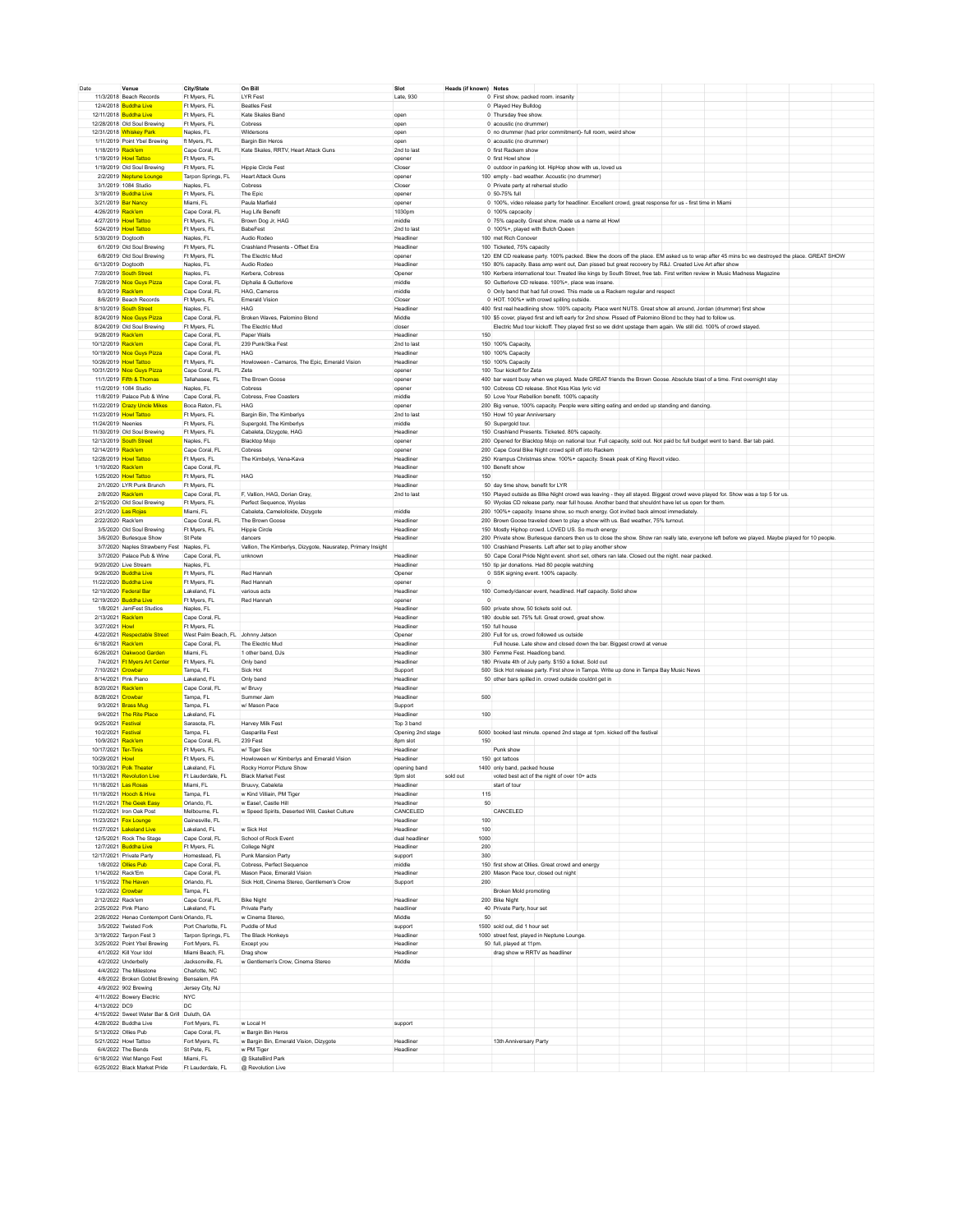| Date                 | Venue                                                    | City/State                        | On Bill                                                      | Slot                | Heads (if known) Notes |                                                                                                                                                 |  |  |  |  |
|----------------------|----------------------------------------------------------|-----------------------------------|--------------------------------------------------------------|---------------------|------------------------|-------------------------------------------------------------------------------------------------------------------------------------------------|--|--|--|--|
|                      | 11/3/2018 Beach Records                                  | Ft Myers, FL                      | <b>LYR Fest</b>                                              | Late, 930           |                        | 0 First show, packed room. insanity                                                                                                             |  |  |  |  |
|                      | 12/4/2018 Buddha Live                                    | Ft Myers, FL                      | <b>Beatles Fest</b>                                          |                     |                        | 0 Played Hey Buildon                                                                                                                            |  |  |  |  |
|                      | 12/11/2018 Buddha Live                                   | Ft Myers, FL                      | Kate Skales Band                                             | open                |                        | 0 Thursday free show                                                                                                                            |  |  |  |  |
|                      | 12/28/2018 Old Soul Brewing                              | Ft Myers, FL                      | Cobress                                                      | oper                |                        | 0 acoustic (no drummer)                                                                                                                         |  |  |  |  |
|                      | 12/31/2018 Whiskey Park                                  | Naples, FL                        | Wildersons                                                   | oper                |                        | 0 no drummer (had prior commitment)- full room, weird show                                                                                      |  |  |  |  |
|                      | 1/11/2019 Point Ybel Brewing                             | ft Myers, FL                      | Bargin Bin Heros                                             | open                |                        | 0 acoustic (no drummer)                                                                                                                         |  |  |  |  |
| 1/18/2019 Rack'em    |                                                          | Cape Coral, FL                    | Kate Skales, RRTV, Heart Attack Guns                         | 2nd to last         |                        | 0 first Rackem show                                                                                                                             |  |  |  |  |
|                      | 1/19/2019 Howl Tattoo                                    | Ft Myers, FL                      |                                                              | opener              |                        | 0 first Howl show                                                                                                                               |  |  |  |  |
|                      | 1/19/2019 Old Soul Brewing                               | Ft Myers, FL                      | <b>Hippie Circle Fest</b>                                    | Closer              |                        | 0 outdoor in parking lot. HipHop show with us, loved us                                                                                         |  |  |  |  |
|                      | 2/2/2019 Neptune Lounge                                  | Tarpon Springs, FL                | <b>Heart Attack Guns</b>                                     | opener              |                        | 100 empty - bad weather. Acoustic (no drummer)                                                                                                  |  |  |  |  |
|                      | 3/1/2019 1084 Studio                                     | Naples, FL                        | Cobress                                                      | Closer              |                        | 0 Private party at rehersal studio                                                                                                              |  |  |  |  |
|                      | 3/19/2019 Buddha Live                                    | Ft Myers, FL                      | The Epic                                                     | opener              |                        | 0 50-75% ful                                                                                                                                    |  |  |  |  |
|                      | 3/21/2019 Bar Nancy                                      | Miami, FL                         | Paula Marfield                                               | opener              |                        | 0 100%, video release party for headliner. Excellent crowd, great response for us - first time in Miami                                         |  |  |  |  |
| 4/26/2019 Rack'em    |                                                          | Cape Coral, FL                    | Hug Life Benefit                                             | 1030pm              |                        | 0 100% capcacity                                                                                                                                |  |  |  |  |
|                      | 4/27/2019 Howl Tattog                                    | Ft Myers, FL                      | Brown Dog Jr, HAG                                            | middle              |                        | 0 75% capacity. Great show, made us a name at How                                                                                               |  |  |  |  |
|                      | 5/24/2019 Howl Tattoo                                    | Ft Myers, FL                      | <b>BabeFest</b>                                              | 2nd to last         |                        | 0 100%+, played with Butch Queen                                                                                                                |  |  |  |  |
| 5/30/2019 Dogtooth   |                                                          | Naples, FL                        | Audio Rodeo                                                  | Headliner           |                        | 100 met Rich Conover                                                                                                                            |  |  |  |  |
|                      | 6/1/2019 Old Soul Brewing                                | Ft Myers, FL                      | Crashland Presents - Offset Era                              | Headliner           |                        | 100 Ticketed, 75% capacity                                                                                                                      |  |  |  |  |
|                      | 6/8/2019 Old Soul Brewing                                | Ft Myers, FL                      | The Electric Mud                                             | opener              |                        | 120 EM CD realease party. 100% packed. Blew the doors off the place. EM asked us to wrap after 45 mins bc we destroyed the place. GREAT SHOW    |  |  |  |  |
|                      | 6/13/2019 Dogtooth                                       | Naples, FL                        | Audio Rodeo                                                  | Headliner           |                        | 150 80% capacity. Bass amp went out, Dan pissed but great recovery by R&J. Created Live Art after show                                          |  |  |  |  |
|                      | 7/20/2019 South Street                                   | Naples, FL                        | Kerbera, Cobress                                             | Opener              |                        | 100 Kerbera international tour. Treated like kings by South Street, free tab. First written review in Music Madness Magazine                    |  |  |  |  |
|                      | 7/28/2019 Nice Guys Pizza                                | Cape Coral, FL                    | Diphalia & Gutterlove                                        | middle              |                        | 50 Gutterlove CD release. 100%+, place was insane                                                                                               |  |  |  |  |
|                      | 8/3/2019 Rack'em                                         | Cape Coral, FL                    | <b>HAG.</b> Cameros                                          | middle              |                        | 0 Only band that had full crowd. This made us a Rackem regular and respect                                                                      |  |  |  |  |
|                      | 8/6/2019 Beach Records                                   | Ft Myers, FL                      | <b>Emerald Vision</b>                                        | Closer              |                        | 0 HOT 100%+ with crowd spilling outside                                                                                                         |  |  |  |  |
|                      | 8/10/2019 South Street                                   | Naples, FL                        | <b>HAG</b>                                                   | Headliner           |                        | 400 first real headlining show. 100% capacity. Place went NUTS. Great show all around, Jordan (drummer) first show                              |  |  |  |  |
|                      | 8/24/2019 Nice Guys Pizza                                | Cape Coral, FL                    | Broken Waves, Palomino Blond                                 | Middle              |                        | 100 \$5 cover, played first and left early for 2nd show. Pissed off Palomino Blond bc they had to follow us.                                    |  |  |  |  |
|                      |                                                          |                                   | The Electric Mud                                             |                     |                        |                                                                                                                                                 |  |  |  |  |
|                      | 8/24/2019 Old Soul Brewing                               | Ft Myers, FL                      |                                                              | closer<br>Headliner |                        | Electric Mud tour kickoff. They played first so we didnt upstage them again. We still did. 100% of crowd stayed.                                |  |  |  |  |
| 9/28/2019 Rack'em    |                                                          | Cape Coral, FL                    | Paper Walls                                                  |                     | 150                    |                                                                                                                                                 |  |  |  |  |
| 10/12/2019 Rack'em   |                                                          | Cape Coral, FL                    | 239 Punk/Ska Fest                                            | 2nd to last         |                        | 150 100% Capacity,                                                                                                                              |  |  |  |  |
|                      | 10/19/2019 Nice Guys Pizza                               | Cape Coral, FL                    | <b>HAG</b>                                                   | Headliner           |                        | 100 100% Capacity                                                                                                                               |  |  |  |  |
|                      | 10/26/2019 Howl Tattog                                   | Ft Myers, FL                      | Howloween - Camaros, The Epic, Emerald Vision                | Headliner           |                        | 150 100% Capacity                                                                                                                               |  |  |  |  |
|                      | 10/31/2019 Nice Guys Pizza                               | Cape Coral, FL                    | Zeta                                                         | opener              |                        | 100 Tour kickoff for Zeta                                                                                                                       |  |  |  |  |
|                      | 11/1/2019 Fifth & Thomas                                 | Tallahasee, FL                    | The Brown Goose                                              | opener              |                        | 400 bar wasnt busy when we played. Made GREAT friends the Brown Goose. Absolute blast of a time. First overnight stay                           |  |  |  |  |
|                      | 11/2/2019 1084 Studio                                    | Naples, FL                        | Cobress                                                      | opener              |                        | 100 Cobress CD release Shot Kiss Kiss Ivric vid                                                                                                 |  |  |  |  |
|                      | 11/8/2019 Palace Pub & Wine                              | Cape Coral, FL                    | Cobress, Free Coasters                                       | middle              |                        | 50 Love Your Rebellion benefit. 100% capacity                                                                                                   |  |  |  |  |
|                      | 11/22/2019 Crazy Uncle Mikes                             | Boca Raton, FL                    | <b>HAG</b>                                                   | opener              |                        | 200 Big venue, 100% capacity. People were sitting eating and ended up standing and dancing.                                                     |  |  |  |  |
|                      | 11/23/2019 Howl Tattoo                                   | Ft Myers, FL                      | Bargin Bin, The Kimberlys                                    | 2nd to last         |                        | 150 Howl 10 year Anniversary                                                                                                                    |  |  |  |  |
| 11/24/2019 Neenies   |                                                          | Ft Myers, FL                      | Supergold, The Kimberlys                                     | middle              |                        | 50 Supergold tour.                                                                                                                              |  |  |  |  |
|                      | 11/30/2019 Old Soul Brewing                              | Ft Myers, FL                      | Cabaleta, Dizygote, HAG                                      | Headliner           |                        | 150 Crashland Presents. Ticketed. 80% capacity.                                                                                                 |  |  |  |  |
|                      | 12/13/2019 South Street                                  | Naples, FL                        | <b>Blacktop Mojo</b>                                         | opener              |                        | 200 Opened for Blacktop Mojo on national tour. Full capacity, sold out. Not paid bc full budget went to band. Bar tab paid.                     |  |  |  |  |
| 12/14/2019 Rack'em   |                                                          | Cape Coral, FL                    | Cobress                                                      | opener              |                        | 200 Cape Coral Bike Night crowd spill off into Racken                                                                                           |  |  |  |  |
|                      | 12/28/2019 Howl Tattoo                                   | Ft Mvers, FL                      | The Kimbelys, Vena-Kava                                      | Headliner           |                        | 250 Krampus Christmas show. 100%+ capacity. Sneak peak of King Revolt video.                                                                    |  |  |  |  |
| 1/10/2020 Rack'em    |                                                          | Cape Coral, FL                    |                                                              | Headliner           |                        | 100 Benefit show                                                                                                                                |  |  |  |  |
|                      | 1/25/2020 Howl Tattoo                                    | Ft Myers, FL                      | HAG                                                          | Headliner           | 150                    |                                                                                                                                                 |  |  |  |  |
|                      | 2/1/2020 LYR Punk Brunch                                 |                                   |                                                              |                     |                        | 50 day time show, benefit for LYR                                                                                                               |  |  |  |  |
|                      |                                                          | Ft Myers, FL                      |                                                              | Headliner           |                        |                                                                                                                                                 |  |  |  |  |
|                      | 2/8/2020 Rack'em                                         | Cape Coral, FL                    | F, Vallion, HAG, Dorian Gray,                                | 2nd to last         |                        | 150 Played outside as Blke Night crowd was leaving - they all stayed. Biggest crowd weve played for. Show was a top 5 for us.                   |  |  |  |  |
|                      | 2/15/2020 Old Soul Brewing                               | Ft Myers, FL                      | Perfect Sequence, Wyolas                                     |                     |                        | 50 Wyolas CD release party. near full house. Another band that shouldnt have let us open for them.                                              |  |  |  |  |
|                      | 2/21/2020 Las Rojas                                      | Miami, FL                         | Cabaleta, Camelolloide, Dizygote                             | middle              |                        | 200 100%+ capacity. Insane show, so much energy. Got invited back almost immediately.                                                           |  |  |  |  |
| 2/22/2020 Rack'em    |                                                          | Cape Coral, FL                    | The Brown Goose                                              | Headliner           |                        | 200 Brown Goose traveled down to play a show with us. Bad weather, 75% turnout.                                                                 |  |  |  |  |
|                      | 3/5/2020 Old Soul Brewing                                | Ft Myers, FL                      | <b>Hippie Circle</b>                                         | Headliner           |                        | 150 Mostly Hiphop crowd. LOVED US. So much energy                                                                                               |  |  |  |  |
|                      | 3/6/2020 Burlesque Show                                  | St Pete                           | dancers                                                      | Headliner           |                        | 200 Private show. Burlesque dancers then us to close the show. Show ran really late, everyone left before we played. Maybe played for 10 people |  |  |  |  |
|                      | 3/7/2020 Naples Strawberry Fest Naples, FL               |                                   | Vallion, The Kimberlys, Dizygote, Nausratep, Primary Insight |                     |                        | 100 Crashland Presents. Left after set to play another show                                                                                     |  |  |  |  |
|                      | 3/7/2020 Palace Pub & Wine                               | Cape Coral, FL                    | unknown                                                      | Headliner           |                        | 50 Cape Coral Pride Night event. short set, others ran late. Closed out the night. near packed.                                                 |  |  |  |  |
|                      | 9/20/2020 Live Stream                                    | Naples, FL                        |                                                              | Headliner           |                        | 150 tip jar donations. Had 80 people watching                                                                                                   |  |  |  |  |
|                      | 9/26/2020 Buddha Live                                    | Ft Myers, FL                      | Red Hannah                                                   | Opener              |                        | 0 SSK signing event. 100% capacity.                                                                                                             |  |  |  |  |
|                      | 11/22/2020 Buddha Live                                   | Ft Myers, FL                      | Red Hannah                                                   | opener              |                        | $\Omega$                                                                                                                                        |  |  |  |  |
|                      | 12/10/2020 Federal Bar                                   | Lakeland, FL                      | various acts                                                 | Headliner           |                        | 100 Comedy/dancer event, headlined. Half capacity. Solid show                                                                                   |  |  |  |  |
|                      | 12/19/2020 Buddha Live                                   | Ft Myers, FL                      | Red Hannah                                                   | opener              |                        |                                                                                                                                                 |  |  |  |  |
|                      | 1/8/2021 JamFest Studios                                 | Naples, FL                        |                                                              | Headliner           |                        | 500 private show, 50 tickets sold out.                                                                                                          |  |  |  |  |
| 2/13/2021 Rack'em    |                                                          | Cape Coral, FL                    |                                                              | Headliner           |                        | 180 double set. 75% full. Great crowd, great show.                                                                                              |  |  |  |  |
| 3/27/2021 Howl       |                                                          | Ft Mvers, FL                      |                                                              | Headliner           |                        | 150 full house                                                                                                                                  |  |  |  |  |
|                      | 4/22/2021 Respectable Street                             | West Palm Beach, FL Johnny Jetson |                                                              | Opener              |                        | 200 Full for us, crowd followed us outside                                                                                                      |  |  |  |  |
| 6/18/2021 Rack'em    |                                                          |                                   | The Electric Mud                                             | Headliner           |                        |                                                                                                                                                 |  |  |  |  |
|                      |                                                          | Cape Coral, FL                    |                                                              |                     |                        | Full house. Late show and closed down the bar. Biggest crowd at venue                                                                           |  |  |  |  |
|                      | 6/26/2021 Oakwood Garden                                 | Miami, FL                         | 1 other band, DJs                                            | Headliner           |                        | 300 Femme Fest. Headlong band.                                                                                                                  |  |  |  |  |
|                      | 7/4/2021 Ft Myers Art Center                             | Ft Myers, FL                      | Only band                                                    | Headliner           |                        | 180 Private 4th of July party. \$150 a ticket. Sold out                                                                                         |  |  |  |  |
| 7/10/2021 Crowbar    |                                                          | Tampa, FL                         | Sick Hot                                                     | Support             |                        | 500 Sick Hot release party. First show in Tampa. Write up done in Tampa Bay Music News                                                          |  |  |  |  |
|                      | 8/14/2021 Pink Piano                                     | Lakeland, FL                      | Only band                                                    | Headliner           |                        | 50 other bars spilled in. crowd outside couldnt get in                                                                                          |  |  |  |  |
| 8/20/2021 Rack'em    |                                                          | Cape Coral, FL                    | w/ Bruvy                                                     | Headliner           |                        |                                                                                                                                                 |  |  |  |  |
| 8/28/2021 Crowbar    |                                                          | Tampa, FL                         | Summer Jam                                                   | Headliner           | 500                    |                                                                                                                                                 |  |  |  |  |
|                      | 9/3/2021 Brass Mug                                       | Tampa, FL                         | w/ Mason Pace                                                | Support             |                        |                                                                                                                                                 |  |  |  |  |
|                      | 9/4/2021 The Rite Place                                  | Lakeland, FL                      |                                                              | Headliner           |                        |                                                                                                                                                 |  |  |  |  |
| 9/25/2021 Festival   |                                                          | Sarasota, FL                      | Harvey Milk Fest                                             |                     |                        | 100                                                                                                                                             |  |  |  |  |
| 10/2/2021 Festival   |                                                          |                                   |                                                              | Top 3 band          |                        |                                                                                                                                                 |  |  |  |  |
| 10/9/2021 Rack'em    |                                                          | Tampa, FL                         | Gasparilla Fest                                              | Opening 2nd stage   |                        | 5000 booked last minute. opened 2nd stage at 1pm. kicked off the festival                                                                       |  |  |  |  |
| 10/17/2021 Ter-Tinis |                                                          | Cape Coral, FL                    | 239 Fest                                                     | 8pm slot            | 150                    |                                                                                                                                                 |  |  |  |  |
|                      |                                                          | Ft Mvers, FL                      | w/Tiger Sex                                                  | Headliner           |                        | Punk show                                                                                                                                       |  |  |  |  |
| 10/29/2021 Howl      |                                                          | Ft Myers, FL                      | Howloween w/ Kimberlys and Emerald Vision                    | Headliner           |                        | 150 got tattoos                                                                                                                                 |  |  |  |  |
|                      | 10/30/2021 Polk Theater                                  | Lakeland, FL                      | Rocky Horror Picture Show                                    | opening band        |                        | 1400 only band, packed house                                                                                                                    |  |  |  |  |
|                      | 11/13/2021 Revolution Live                               | Ft Lauderdale, FL                 | <b>Black Market Fest</b>                                     | 9pm slot            | sold out               | voted best act of the night of over 10+ acts                                                                                                    |  |  |  |  |
|                      | 11/18/2021 Las Rosas                                     | Miami, FL                         |                                                              | Headliner           |                        |                                                                                                                                                 |  |  |  |  |
|                      | 11/19/2021 Hooch & Hive                                  | Tampa, FL                         | Bruuvy, Cabaleta<br>w Kind Villiain, PM Tiger                | Headliner           | 115                    | start of tour                                                                                                                                   |  |  |  |  |
|                      | 11/21/2021 The Geek Easy                                 | Orlando, FL                       | w Ease!, Castle Hill                                         | Headliner           | 50                     |                                                                                                                                                 |  |  |  |  |
|                      | 11/22/2021 Iron Oak Post                                 | Melbourne, FL                     |                                                              | CANCELED            |                        |                                                                                                                                                 |  |  |  |  |
|                      |                                                          | Gainesville, FL                   | w Speed Spirits, Deserted Will, Casket Culture               | Headliner           | 100                    | CANCELED                                                                                                                                        |  |  |  |  |
|                      | 11/23/2021 Fox Lounge                                    | Lakeland FL                       | w Sick Hot                                                   | Headliner           | 100                    |                                                                                                                                                 |  |  |  |  |
|                      | 11/27/2021 Lakeland Live                                 |                                   |                                                              |                     | 1000                   |                                                                                                                                                 |  |  |  |  |
|                      | 12/5/2021 Rock The Stage                                 | Cape Coral, FL                    | School of Rock Event                                         | dual headliner      |                        |                                                                                                                                                 |  |  |  |  |
|                      | 12/7/2021 Buddha Live                                    | Ft Myers, FL                      | College Night                                                | Headliner           | 200                    |                                                                                                                                                 |  |  |  |  |
|                      | 12/17/2021 Private Party                                 | Homestead, FL                     | Punk Mansion Party                                           | support             | 300                    |                                                                                                                                                 |  |  |  |  |
|                      | 1/8/2022 Ollies Pub                                      | Cape Coral, FL                    | Cobress, Perfect Sequence                                    | middle              |                        | 150 first show at Ollies. Great crowd and energy                                                                                                |  |  |  |  |
|                      | 1/14/2022 Rack'Em                                        | Cape Coral, FL                    | Mason Pace, Emerald Vision                                   | Headliner           |                        | 200 Mason Pace tour, closed out night                                                                                                           |  |  |  |  |
|                      | 1/15/2022 The Haven                                      | Orlando, FL                       | Sick Hott, Cinema Stereo, Gentlemen's Crow                   | Support             | 200                    |                                                                                                                                                 |  |  |  |  |
| 1/22/2022 Crowbar    |                                                          | Tampa, FL                         |                                                              |                     |                        | Broken Mold promoting                                                                                                                           |  |  |  |  |
| 2/12/2022 Rack'em    |                                                          | Cape Coral, FL                    | <b>Bike Night</b>                                            | Headliner           |                        | 200 Bike Night                                                                                                                                  |  |  |  |  |
|                      | 2/25/2022 Pink Plano                                     | Lakeland, FL                      | Private Party                                                | headliner           |                        | 40 Private Party, hour set                                                                                                                      |  |  |  |  |
|                      | 2/26/2022 Henao Contemport Cente Orlando, FL             |                                   | w Cinema Stereo                                              | Middle              | 50                     |                                                                                                                                                 |  |  |  |  |
|                      | 3/5/2022 Twisted Fork                                    | Port Charlotte, FL                | Puddle of Mud                                                | support             |                        | 1500 sold out, did 1 hour set                                                                                                                   |  |  |  |  |
|                      | 3/19/2022 Tarpon Fest 3                                  | Tarpon Springs, FL                | The Black Honkeys                                            | Headliner           |                        | 1000 street fest, played in Neptune Lounge.                                                                                                     |  |  |  |  |
|                      | 3/25/2022 Point Ybel Brewing                             | Fort Myers, FL                    |                                                              | Headliner           |                        | 50 full, played at 11pm                                                                                                                         |  |  |  |  |
|                      | 4/1/2022 Kill Your Idol                                  | Miami Beach, FL                   | Except you<br>Drag show                                      | Headliner           |                        |                                                                                                                                                 |  |  |  |  |
|                      |                                                          |                                   |                                                              |                     |                        | drag show w RRTV as headliner                                                                                                                   |  |  |  |  |
|                      | 4/2/2022 Underbelly                                      | Jacksonville, FL                  | w Gentlemen's Crow, Cinema Stereo                            | Middle              |                        |                                                                                                                                                 |  |  |  |  |
|                      | 4/4/2022 The Milestone                                   | Charlotte, NC                     |                                                              |                     |                        |                                                                                                                                                 |  |  |  |  |
|                      | 4/8/2022 Broken Goblet Brewing Bensalem, PA              |                                   |                                                              |                     |                        |                                                                                                                                                 |  |  |  |  |
|                      | 4/9/2022 902 Brewing                                     | Jersey City, NJ                   |                                                              |                     |                        |                                                                                                                                                 |  |  |  |  |
|                      | 4/11/2022 Bowery Electric                                | <b>NYC</b>                        |                                                              |                     |                        |                                                                                                                                                 |  |  |  |  |
| 4/13/2022 DC9        |                                                          | DC                                |                                                              |                     |                        |                                                                                                                                                 |  |  |  |  |
|                      | 4/15/2022 Sweet Water Bar & Grill Duluth, GA             |                                   |                                                              |                     |                        |                                                                                                                                                 |  |  |  |  |
|                      | 4/28/2022 Buddha Live                                    | Fort Myers, FL                    | w Local H                                                    | support             |                        |                                                                                                                                                 |  |  |  |  |
|                      | 5/13/2022 Ollies Pub                                     | Cape Coral, FL                    | w Bargin Bin Heros                                           |                     |                        |                                                                                                                                                 |  |  |  |  |
|                      | 5/21/2022 Howl Tattoo                                    | Fort Myers, FL                    | w Bargin Bin, Emerald Vision, Dizygote                       | Headliner           |                        | 13th Anniversary Party                                                                                                                          |  |  |  |  |
|                      | 6/4/2022 The Bends                                       | St Pete, FL                       | w PM Tiger                                                   | Headliner           |                        |                                                                                                                                                 |  |  |  |  |
|                      | 6/18/2022 Wet Mango Fest<br>6/25/2022 Black Market Pride | Miami FI<br>Ft Lauderdale, FL     | @ SkateBird Park<br>@ Revolution Live                        |                     |                        |                                                                                                                                                 |  |  |  |  |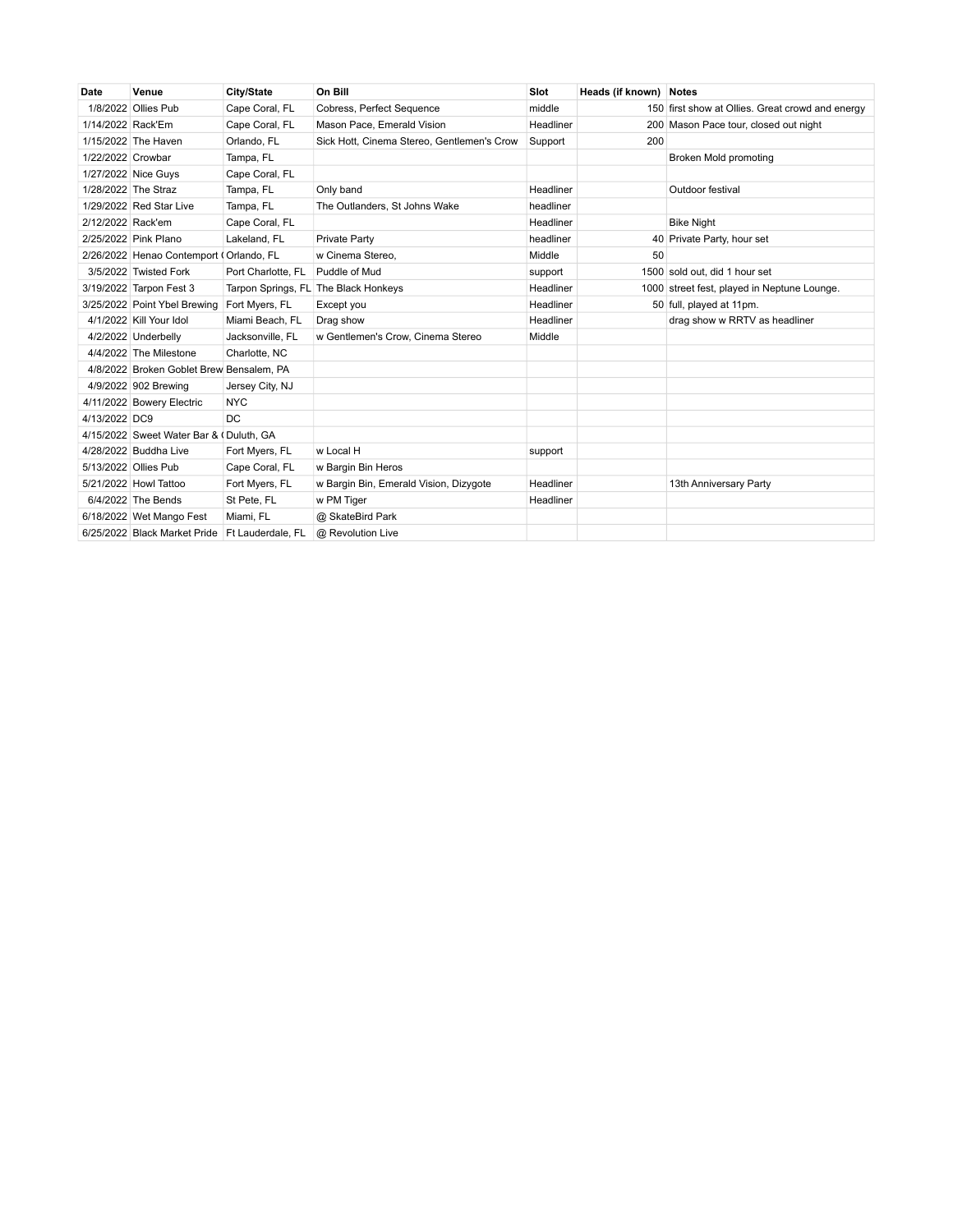| Date                | Venue                                    | City/State                       | On Bill                                    | Slot      | Heads (if known) Notes |                                                  |
|---------------------|------------------------------------------|----------------------------------|--------------------------------------------|-----------|------------------------|--------------------------------------------------|
|                     | 1/8/2022 Ollies Pub                      | Cape Coral, FL                   | Cobress, Perfect Sequence                  | middle    |                        | 150 first show at Ollies. Great crowd and energy |
| 1/14/2022 Rack'Em   |                                          | Cape Coral, FL                   | Mason Pace, Emerald Vision                 | Headliner |                        | 200 Mason Pace tour, closed out night            |
|                     | 1/15/2022 The Haven                      | Orlando, FL                      | Sick Hott, Cinema Stereo, Gentlemen's Crow | Support   | 200                    |                                                  |
| 1/22/2022 Crowbar   |                                          | Tampa, FL                        |                                            |           |                        | Broken Mold promoting                            |
|                     | 1/27/2022 Nice Guys                      | Cape Coral, FL                   |                                            |           |                        |                                                  |
| 1/28/2022 The Straz |                                          | Tampa, FL                        | Only band                                  | Headliner |                        | Outdoor festival                                 |
|                     | 1/29/2022 Red Star Live                  | Tampa, FL                        | The Outlanders, St Johns Wake              | headliner |                        |                                                  |
| 2/12/2022 Rack'em   |                                          | Cape Coral, FL                   |                                            | Headliner |                        | <b>Bike Night</b>                                |
|                     | 2/25/2022 Pink Plano                     | Lakeland, FL                     | Private Party                              | headliner |                        | 40 Private Party, hour set                       |
|                     | 2/26/2022 Henao Contemport (Orlando, FL  |                                  | w Cinema Stereo,                           | Middle    | 50                     |                                                  |
|                     | 3/5/2022 Twisted Fork                    | Port Charlotte, FL Puddle of Mud |                                            | support   |                        | 1500 sold out, did 1 hour set                    |
|                     | 3/19/2022 Tarpon Fest 3                  |                                  | Tarpon Springs, FL The Black Honkeys       | Headliner |                        | 1000 street fest, played in Neptune Lounge.      |
|                     | 3/25/2022 Point Ybel Brewing             | Fort Myers, FL                   | Except you                                 | Headliner |                        | 50 full, played at 11pm.                         |
|                     | 4/1/2022 Kill Your Idol                  | Miami Beach, FL                  | Drag show                                  | Headliner |                        | drag show w RRTV as headliner                    |
|                     | 4/2/2022 Underbelly                      | Jacksonville, FL                 | w Gentlemen's Crow, Cinema Stereo          | Middle    |                        |                                                  |
|                     | 4/4/2022 The Milestone                   | Charlotte, NC                    |                                            |           |                        |                                                  |
|                     | 4/8/2022 Broken Goblet Brew Bensalem, PA |                                  |                                            |           |                        |                                                  |
|                     | 4/9/2022 902 Brewing                     | Jersey City, NJ                  |                                            |           |                        |                                                  |
|                     | 4/11/2022 Bowery Electric                | <b>NYC</b>                       |                                            |           |                        |                                                  |
| 4/13/2022 DC9       |                                          | DC.                              |                                            |           |                        |                                                  |
|                     | 4/15/2022 Sweet Water Bar & (Duluth, GA  |                                  |                                            |           |                        |                                                  |
|                     | 4/28/2022 Buddha Live                    | Fort Myers, FL                   | w Local H                                  | support   |                        |                                                  |
|                     | 5/13/2022 Ollies Pub                     | Cape Coral, FL                   | w Bargin Bin Heros                         |           |                        |                                                  |
|                     | 5/21/2022 Howl Tattoo                    | Fort Myers, FL                   | w Bargin Bin, Emerald Vision, Dizygote     | Headliner |                        | 13th Anniversary Party                           |
|                     | 6/4/2022 The Bends                       | St Pete, FL                      | w PM Tiger                                 | Headliner |                        |                                                  |
|                     | 6/18/2022 Wet Mango Fest                 | Miami, FL                        | @ SkateBird Park                           |           |                        |                                                  |
|                     | 6/25/2022 Black Market Pride             | Ft Lauderdale, FL                | @ Revolution Live                          |           |                        |                                                  |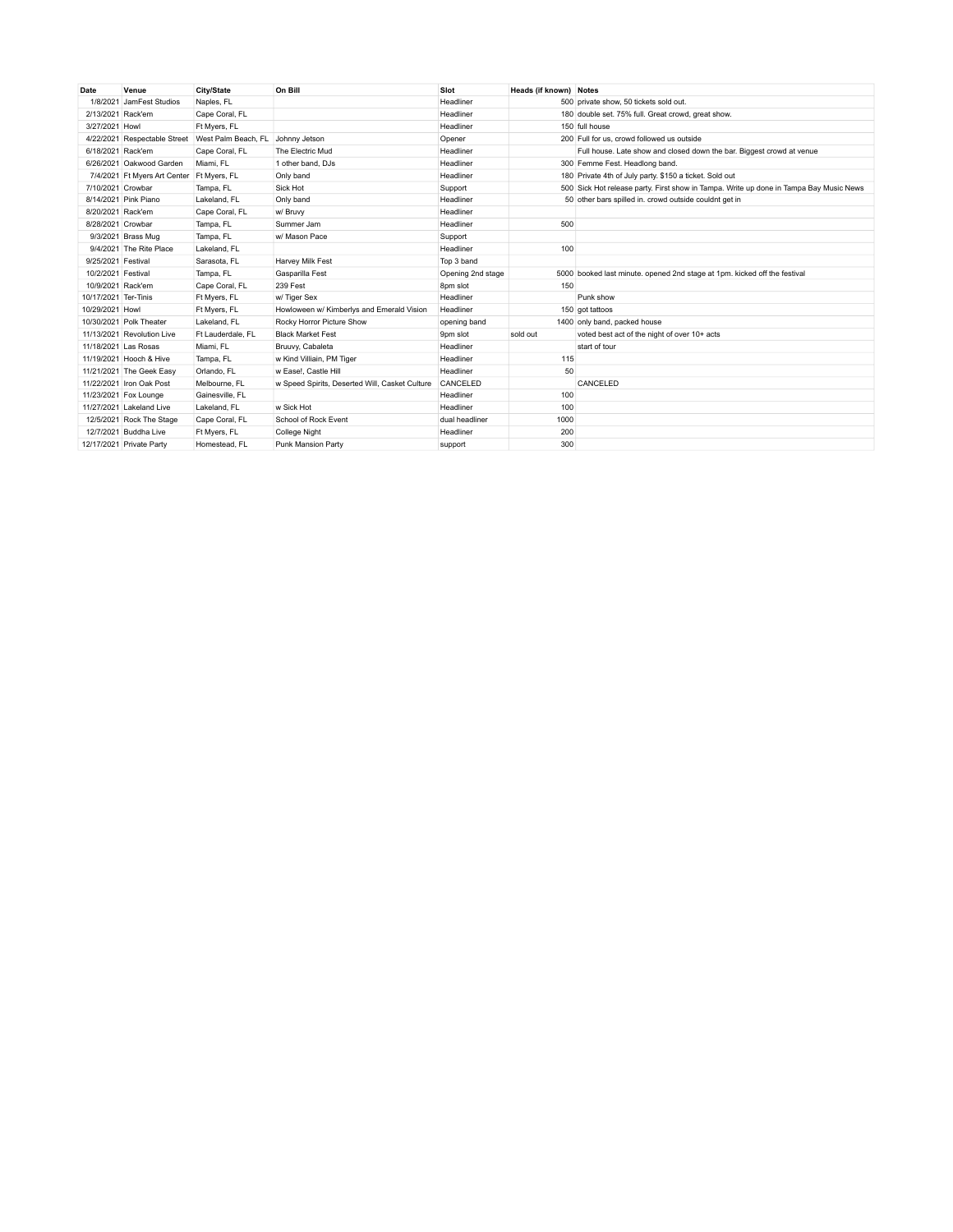| Date                 | Venue                        | City/State          | On Bill                                        | Slot              | Heads (if known) Notes |                                                                                        |
|----------------------|------------------------------|---------------------|------------------------------------------------|-------------------|------------------------|----------------------------------------------------------------------------------------|
|                      | 1/8/2021 JamFest Studios     | Naples, FL          |                                                | Headliner         |                        | 500 private show, 50 tickets sold out.                                                 |
| 2/13/2021 Rack'em    |                              | Cape Coral, FL      |                                                | Headliner         |                        | 180 double set. 75% full. Great crowd, great show.                                     |
| 3/27/2021 Howl       |                              | Ft Myers, FL        |                                                | Headliner         |                        | 150 full house                                                                         |
| 4/22/2021            | Respectable Street           | West Palm Beach, FL | Johnny Jetson                                  | Opener            |                        | 200 Full for us, crowd followed us outside                                             |
| 6/18/2021 Rack'em    |                              | Cape Coral, FL      | The Electric Mud                               | Headliner         |                        | Full house. Late show and closed down the bar. Biggest crowd at venue                  |
|                      | 6/26/2021 Oakwood Garden     | Miami, FL           | 1 other band, DJs                              | Headliner         |                        | 300 Femme Fest. Headlong band.                                                         |
|                      | 7/4/2021 Ft Myers Art Center | Ft Myers, FL        | Only band                                      | Headliner         |                        | 180 Private 4th of July party. \$150 a ticket. Sold out                                |
| 7/10/2021 Crowbar    |                              | Tampa, FL           | Sick Hot                                       | Support           |                        | 500 Sick Hot release party. First show in Tampa. Write up done in Tampa Bay Music News |
|                      | 8/14/2021 Pink Piano         | Lakeland, FL        | Only band                                      | Headliner         |                        | 50 other bars spilled in. crowd outside couldnt get in                                 |
| 8/20/2021 Rack'em    |                              | Cape Coral, FL      | w/ Bruvy                                       | Headliner         |                        |                                                                                        |
| 8/28/2021 Crowbar    |                              | Tampa, FL           | Summer Jam                                     | Headliner         | 500                    |                                                                                        |
|                      | 9/3/2021 Brass Mug           | Tampa, FL           | w/ Mason Pace                                  | Support           |                        |                                                                                        |
|                      | 9/4/2021 The Rite Place      | Lakeland, FL        |                                                | Headliner         | 100                    |                                                                                        |
| 9/25/2021 Festival   |                              | Sarasota, FL        | Harvey Milk Fest                               | Top 3 band        |                        |                                                                                        |
| 10/2/2021 Festival   |                              | Tampa, FL           | Gasparilla Fest                                | Opening 2nd stage |                        | 5000 booked last minute. opened 2nd stage at 1pm. kicked off the festival              |
| 10/9/2021 Rack'em    |                              | Cape Coral, FL      | 239 Fest                                       | 8pm slot          | 150                    |                                                                                        |
| 10/17/2021 Ter-Tinis |                              | Ft Myers, FL        | w/ Tiger Sex                                   | Headliner         |                        | Punk show                                                                              |
| 10/29/2021 Howl      |                              | Ft Myers, FL        | Howloween w/ Kimberlys and Emerald Vision      | Headliner         |                        | 150 got tattoos                                                                        |
|                      | 10/30/2021 Polk Theater      | Lakeland, FL        | Rocky Horror Picture Show                      | opening band      |                        | 1400 only band, packed house                                                           |
|                      | 11/13/2021 Revolution Live   | Ft Lauderdale, FL   | <b>Black Market Fest</b>                       | 9pm slot          | sold out               | voted best act of the night of over 10+ acts                                           |
| 11/18/2021 Las Rosas |                              | Miami, FL           | Bruuvy, Cabaleta                               | Headliner         |                        | start of tour                                                                          |
|                      | 11/19/2021 Hooch & Hive      | Tampa, FL           | w Kind Villiain, PM Tiger                      | Headliner         | 115                    |                                                                                        |
|                      | 11/21/2021 The Geek Easy     | Orlando, FL         | w Ease!. Castle Hill                           | Headliner         | 50                     |                                                                                        |
|                      | 11/22/2021 Iron Oak Post     | Melbourne, FL       | w Speed Spirits, Deserted Will, Casket Culture | CANCELED          |                        | CANCELED                                                                               |
|                      | 11/23/2021 Fox Lounge        | Gainesville, FL     |                                                | Headliner         | 100                    |                                                                                        |
|                      | 11/27/2021 Lakeland Live     | Lakeland, FL        | w Sick Hot                                     | Headliner         | 100                    |                                                                                        |
|                      | 12/5/2021 Rock The Stage     | Cape Coral, FL      | School of Rock Event                           | dual headliner    | 1000                   |                                                                                        |
|                      | 12/7/2021 Buddha Live        | Ft Myers, FL        | <b>College Night</b>                           | Headliner         | 200                    |                                                                                        |
|                      | 12/17/2021 Private Party     | Homestead, FL       | Punk Mansion Party                             | support           | 300                    |                                                                                        |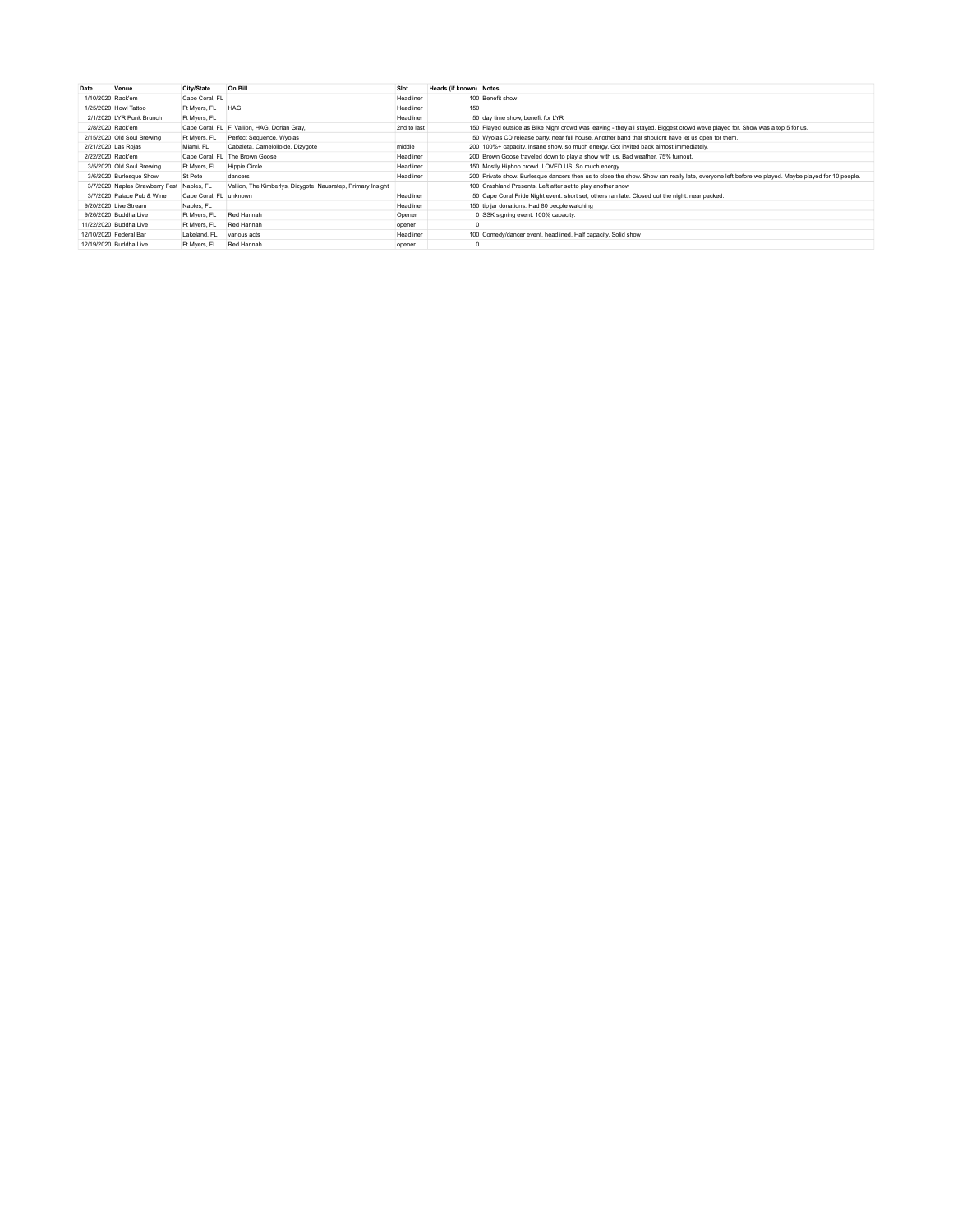| Date              | Venue                           | City/State             | On Bill                                                      | Slot        | Heads (if known) Notes |                                                                                                                                                  |
|-------------------|---------------------------------|------------------------|--------------------------------------------------------------|-------------|------------------------|--------------------------------------------------------------------------------------------------------------------------------------------------|
| 1/10/2020 Rack'em |                                 | Cape Coral, FL         |                                                              | Headliner   |                        | 100 Benefit show                                                                                                                                 |
|                   | 1/25/2020 Howl Tattoo           | Ft Myers, FL           | <b>HAG</b>                                                   | Headliner   | 150                    |                                                                                                                                                  |
|                   | 2/1/2020 LYR Punk Brunch        | Ft Myers, FL           |                                                              | Headliner   |                        | 50 day time show, benefit for LYR                                                                                                                |
| 2/8/2020 Rack'em  |                                 |                        | Cape Coral, FL F, Vallion, HAG, Dorian Gray,                 | 2nd to last |                        | 150 Played outside as Blke Night crowd was leaving - they all stayed. Biggest crowd weve played for. Show was a top 5 for us.                    |
|                   | 2/15/2020 Old Soul Brewing      | Ft Mvers, FL           | Perfect Sequence, Wyolas                                     |             |                        | 50 Wyolas CD release party, near full house. Another band that shouldnt have let us open for them.                                               |
|                   | 2/21/2020 Las Rojas             | Miami, FL              | Cabaleta, Camelolloide, Dizygote                             | middle      |                        | 200 100%+ capacity. Insane show, so much energy. Got invited back almost immediately.                                                            |
| 2/22/2020 Rack'em |                                 |                        | Cape Coral, FL The Brown Goose                               | Headliner   |                        | 200 Brown Goose traveled down to play a show with us. Bad weather, 75% turnout.                                                                  |
|                   | 3/5/2020 Old Soul Brewing       | Ft Myers, FL           | Hippie Circle                                                | Headliner   |                        | 150 Mostly Hiphop crowd, LOVED US, So much energy                                                                                                |
|                   | 3/6/2020 Burlesque Show         | St Pete                | dancers                                                      | Headliner   |                        | 200 Private show. Burlesque dancers then us to close the show. Show ran really late, everyone left before we played. Maybe played for 10 people. |
|                   | 3/7/2020 Naples Strawberry Fest | Naples, FL             | Vallion, The Kimberlys, Dizygote, Nausratep, Primary Insight |             |                        | 100 Crashland Presents. Left after set to play another show                                                                                      |
|                   | 3/7/2020 Palace Pub & Wine      | Cape Coral, FL unknown |                                                              | Headliner   |                        | 50 Cape Coral Pride Night event. short set, others ran late. Closed out the night. near packed.                                                  |
|                   | 9/20/2020 Live Stream           | Naples, FL             |                                                              | Headliner   |                        | 150 tip jar donations. Had 80 people watching                                                                                                    |
|                   | 9/26/2020 Buddha Live           | Ft Myers, FL           | Red Hannah                                                   | Opener      |                        | 0 SSK signing event. 100% capacity.                                                                                                              |
|                   | 11/22/2020 Buddha Live          | Ft Myers, FL           | Red Hannah                                                   | opener      |                        |                                                                                                                                                  |
|                   | 12/10/2020 Federal Bar          | Lakeland, FL           | various acts                                                 | Headliner   |                        | 100 Comedy/dancer event, headlined. Half capacity. Solid show                                                                                    |
|                   | 12/19/2020 Buddha Live          | Ft Mvers, FL           | Red Hannah                                                   | opener      |                        |                                                                                                                                                  |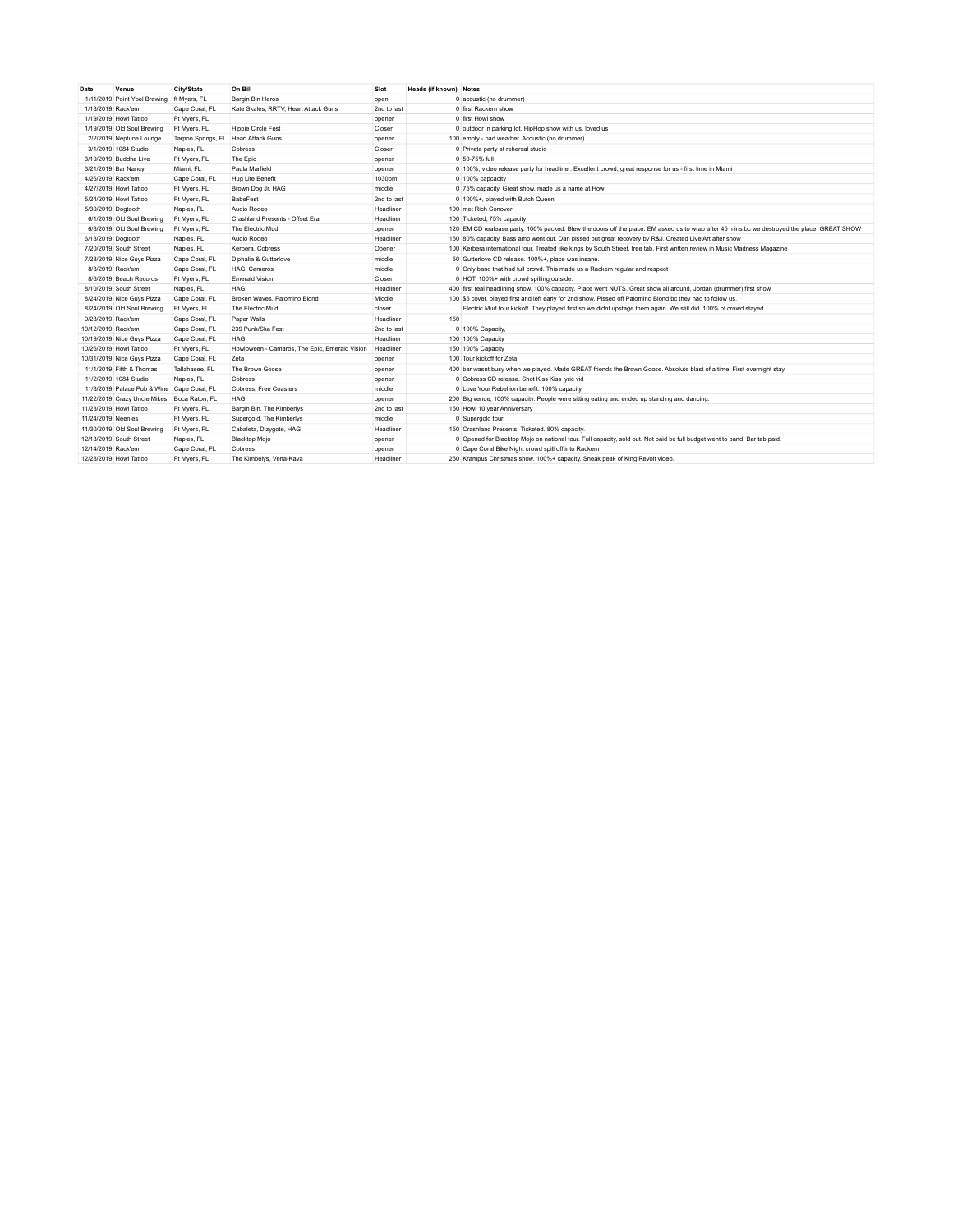| Date                   | Venue                        | City/State                           | On Bill                                       | Slot        | Heads (if known) Notes |                                                                                                                                              |
|------------------------|------------------------------|--------------------------------------|-----------------------------------------------|-------------|------------------------|----------------------------------------------------------------------------------------------------------------------------------------------|
|                        | 1/11/2019 Point Ybel Brewing | ft Myers, FL                         | Bargin Bin Heros                              | open        |                        | 0 acoustic (no drummer)                                                                                                                      |
| 1/18/2019 Rack'em      |                              | Cape Coral, FL                       | Kate Skales, RRTV, Heart Attack Guns          | 2nd to last |                        | 0 first Rackem show                                                                                                                          |
|                        | 1/19/2019 Howl Tattoo        | Ft Myers, FL                         |                                               | opener      |                        | 0 first Howl show                                                                                                                            |
|                        | 1/19/2019 Old Soul Brewing   | Ft Myers, FL                         | Hippie Circle Fest                            | Closer      |                        | 0 outdoor in parking lot. HipHop show with us, loved us                                                                                      |
|                        | 2/2/2019 Neptune Lounge      | Tarpon Springs, FL Heart Attack Guns |                                               | opener      |                        | 100 empty - bad weather. Acoustic (no drummer)                                                                                               |
|                        | 3/1/2019 1084 Studio         | Naples, FL                           | Cobress                                       | Closer      |                        | 0 Private party at rehersal studio                                                                                                           |
|                        | 3/19/2019 Buddha Live        | Ft Myers, FL                         | The Epic                                      | opener      |                        | 0 50-75% full                                                                                                                                |
| 3/21/2019 Bar Nancy    |                              | Miami, FL                            | Paula Marfield                                | opener      |                        | 0 100%, video release party for headliner. Excellent crowd, great response for us - first time in Miami                                      |
| 4/26/2019 Rack'em      |                              | Cape Coral, FL                       | Hug Life Benefit                              | 1030pm      |                        | 0 100% capcacity                                                                                                                             |
|                        | 4/27/2019 Howl Tattoo        | Ft Myers, FL                         | Brown Dog Jr, HAG                             | middle      |                        | 0 75% capacity. Great show, made us a name at Howl                                                                                           |
|                        | 5/24/2019 Howl Tattoo        | Ft Myers, FL                         | BabeFest                                      | 2nd to last |                        | 0 100%+, played with Butch Queen                                                                                                             |
| 5/30/2019 Dogtooth     |                              | Naples, FL                           | Audio Rodeo                                   | Headliner   |                        | 100 met Rich Conover                                                                                                                         |
|                        | 6/1/2019 Old Soul Brewing    | Ft Myers, FL                         | Crashland Presents - Offset Era               | Headliner   |                        | 100 Ticketed, 75% capacity                                                                                                                   |
|                        | 6/8/2019 Old Soul Brewing    | Ft Myers, FL                         | The Electric Mud                              | opener      |                        | 120 EM CD realease party. 100% packed. Blew the doors off the place. EM asked us to wrap after 45 mins bc we destroyed the place. GREAT SHOW |
| 6/13/2019 Dogtooth     |                              | Naples, FL                           | Audio Rodeo                                   | Headliner   |                        | 150 80% capacity. Bass amp went out, Dan pissed but great recovery by R&J. Created Live Art after show                                       |
|                        | 7/20/2019 South Street       | Naples, FL                           | Kerbera, Cobress                              | Opener      |                        | 100 Kerbera international tour. Treated like kings by South Street, free tab. First written review in Music Madness Magazine                 |
|                        | 7/28/2019 Nice Guys Pizza    | Cape Coral, FL                       | Diphalia & Gutterlove                         | middle      |                        | 50 Gutterlove CD release. 100%+, place was insane.                                                                                           |
| 8/3/2019 Rack'em       |                              | Cape Coral, FL                       | HAG. Cameros                                  | middle      |                        | 0 Only band that had full crowd. This made us a Rackem regular and respect                                                                   |
|                        | 8/6/2019 Beach Records       | Ft Myers, FL                         | <b>Emerald Vision</b>                         | Closer      |                        | 0 HOT, 100%+ with crowd spilling outside.                                                                                                    |
|                        | 8/10/2019 South Street       | Naples, FL                           | <b>HAG</b>                                    | Headliner   |                        | 400 first real headlining show. 100% capacity. Place went NUTS. Great show all around, Jordan (drummer) first show                           |
|                        | 8/24/2019 Nice Guys Pizza    | Cape Coral, FL                       | Broken Waves, Palomino Blond                  | Middle      |                        | 100 \$5 cover, played first and left early for 2nd show. Pissed off Palomino Blond bc they had to follow us.                                 |
|                        | 8/24/2019 Old Soul Brewing   | Ft Myers, FL                         | The Electric Mud                              | closer      |                        | Electric Mud tour kickoff. They played first so we didnt upstage them again. We still did. 100% of crowd stayed.                             |
| 9/28/2019 Rack'em      |                              | Cape Coral, FL                       | Paper Walls                                   | Headliner   | 150                    |                                                                                                                                              |
| 10/12/2019 Rack'em     |                              | Cape Coral, FL                       | 239 Punk/Ska Fest                             | 2nd to last |                        | 0 100% Capacity,                                                                                                                             |
|                        | 10/19/2019 Nice Guys Pizza   | Cape Coral, FL                       | <b>HAG</b>                                    | Headliner   |                        | 100 100% Capacity                                                                                                                            |
| 10/26/2019 Howl Tattoo |                              | Ft Myers, FL                         | Howloween - Camaros, The Epic, Emerald Vision | Headliner   |                        | 150 100% Capacity                                                                                                                            |
|                        | 10/31/2019 Nice Guys Pizza   | Cape Coral, FL                       | Zeta                                          | opener      |                        | 100 Tour kickoff for Zeta                                                                                                                    |
|                        | 11/1/2019 Fifth & Thomas     | Tallahasee, FL                       | The Brown Goose                               | opener      |                        | 400 bar wasnt busy when we played. Made GREAT friends the Brown Goose. Absolute blast of a time. First overnight stay                        |
|                        | 11/2/2019 1084 Studio        | Naples, FL                           | Cobress                                       | opener      |                        | 0 Cobress CD release. Shot Kiss Kiss Ivric vid                                                                                               |
|                        | 11/8/2019 Palace Pub & Wine  | Cape Coral, FL                       | Cobress, Free Coasters                        | middle      |                        | 0 Love Your Rebellion benefit, 100% capacity                                                                                                 |
|                        | 11/22/2019 Crazy Uncle Mikes | Boca Raton, FL                       | <b>HAG</b>                                    | opener      |                        | 200 Big venue, 100% capacity. People were sitting eating and ended up standing and dancing.                                                  |
| 11/23/2019 Howl Tattoo |                              | Ft Myers, FL                         | Bargin Bin, The Kimberlys                     | 2nd to last |                        | 150 Howl 10 year Anniversary                                                                                                                 |
| 11/24/2019 Neenies     |                              | Ft Myers, FL                         | Supergold, The Kimberlys                      | middle      |                        | 0 Supergold tour.                                                                                                                            |
|                        | 11/30/2019 Old Soul Brewing  | Ft Myers, FL                         | Cabaleta, Dizygote, HAG                       | Headliner   |                        | 150 Crashland Presents, Ticketed, 80% capacity.                                                                                              |
|                        | 12/13/2019 South Street      | Naples, FL                           | <b>Blacktop Moio</b>                          | opener      |                        | 0 Opened for Blacktop Mojo on national tour. Full capacity, sold out. Not paid bc full budget went to band. Bar tab paid.                    |
| 12/14/2019 Rack'em     |                              | Cape Coral, FL                       | Cobress                                       | opener      |                        | 0 Cape Coral Bike Night crowd spill off into Rackem                                                                                          |
| 12/28/2019 Howl Tattoo |                              | Ft Mvers, FL                         | The Kimbelys, Vena-Kaya                       | Headliner   |                        | 250 Krampus Christmas show. 100%+ capacity. Sneak peak of King Revolt video.                                                                 |